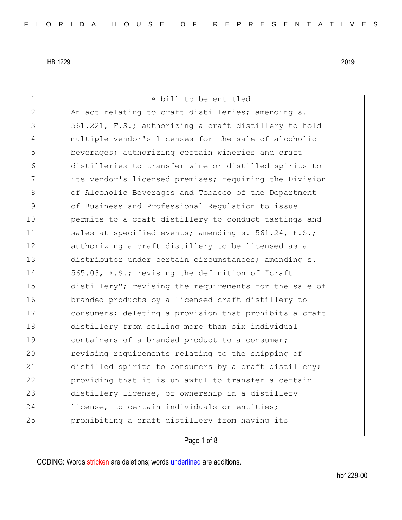1 a bill to be entitled 2 An act relating to craft distilleries; amending s. 3 561.221, F.S.; authorizing a craft distillery to hold 4 multiple vendor's licenses for the sale of alcoholic 5 beverages; authorizing certain wineries and craft 6 distilleries to transfer wine or distilled spirits to 7 1 its vendor's licensed premises; requiring the Division 8 of Alcoholic Beverages and Tobacco of the Department 9 of Business and Professional Regulation to issue 10 permits to a craft distillery to conduct tastings and 11 sales at specified events; amending s. 561.24, F.S.; 12 authorizing a craft distillery to be licensed as a 13 distributor under certain circumstances; amending s. 14 565.03, F.S.; revising the definition of "craft" 15 distillery"; revising the requirements for the sale of 16 branded products by a licensed craft distillery to 17 consumers; deleting a provision that prohibits a craft 18 distillery from selling more than six individual 19 19 containers of a branded product to a consumer; 20 revising requirements relating to the shipping of 21 distilled spirits to consumers by a craft distillery; 22 providing that it is unlawful to transfer a certain 23 distillery license, or ownership in a distillery 24 license, to certain individuals or entities; 25 prohibiting a craft distillery from having its

## Page 1 of 8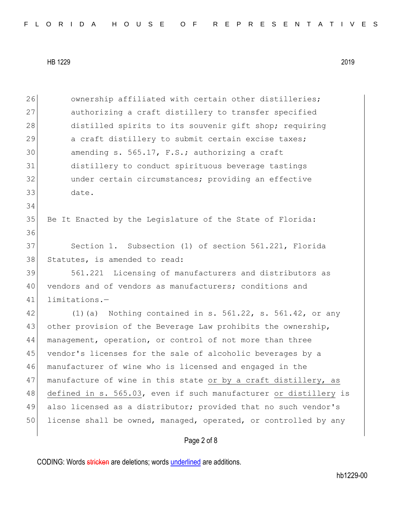26 ownership affiliated with certain other distilleries; 27 authorizing a craft distillery to transfer specified 28 distilled spirits to its souvenir gift shop; requiring 29 a craft distillery to submit certain excise taxes; 30 amending s. 565.17, F.S.; authorizing a craft 31 distillery to conduct spirituous beverage tastings 32 under certain circumstances; providing an effective 33 date. 34 35 Be It Enacted by the Legislature of the State of Florida: 36 37 Section 1. Subsection (1) of section 561.221, Florida 38 Statutes, is amended to read: 39 561.221 Licensing of manufacturers and distributors as 40 vendors and of vendors as manufacturers; conditions and 41 limitations.—  $42$  (1)(a) Nothing contained in s. 561.22, s. 561.42, or any 43 other provision of the Beverage Law prohibits the ownership, 44 management, operation, or control of not more than three 45 vendor's licenses for the sale of alcoholic beverages by a 46 manufacturer of wine who is licensed and engaged in the 47 manufacture of wine in this state or by a craft distillery, as 48 defined in s. 565.03, even if such manufacturer or distillery is 49 also licensed as a distributor; provided that no such vendor's 50 license shall be owned, managed, operated, or controlled by any

### Page 2 of 8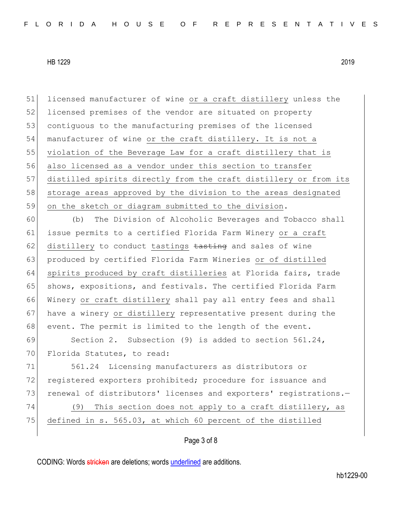51 licensed manufacturer of wine or a craft distillery unless the 52 licensed premises of the vendor are situated on property 53 contiguous to the manufacturing premises of the licensed 54 manufacturer of wine or the craft distillery. It is not a 55 violation of the Beverage Law for a craft distillery that is 56 also licensed as a vendor under this section to transfer 57 distilled spirits directly from the craft distillery or from its 58 storage areas approved by the division to the areas designated 59 on the sketch or diagram submitted to the division.

60 (b) The Division of Alcoholic Beverages and Tobacco shall 61 issue permits to a certified Florida Farm Winery or a craft 62 distillery to conduct tastings tasting and sales of wine 63 produced by certified Florida Farm Wineries or of distilled 64 spirits produced by craft distilleries at Florida fairs, trade 65 shows, expositions, and festivals. The certified Florida Farm 66 Winery or craft distillery shall pay all entry fees and shall 67 have a winery or distillery representative present during the 68 event. The permit is limited to the length of the event.

69 Section 2. Subsection (9) is added to section 561.24, 70 Florida Statutes, to read:

71 561.24 Licensing manufacturers as distributors or 72 registered exporters prohibited; procedure for issuance and 73 renewal of distributors' licenses and exporters' registrations.-74 (9) This section does not apply to a craft distillery, as 75 defined in s. 565.03, at which 60 percent of the distilled

Page 3 of 8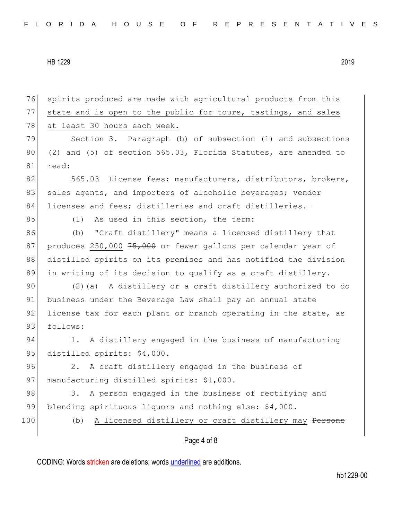76 spirits produced are made with agricultural products from this 77 state and is open to the public for tours, tastings, and sales 78 at least 30 hours each week. 79 Section 3. Paragraph (b) of subsection (1) and subsections 80 (2) and (5) of section  $565.03$ , Florida Statutes, are amended to 81 read: 82 565.03 License fees; manufacturers, distributors, brokers, 83 sales agents, and importers of alcoholic beverages; vendor 84 licenses and fees; distilleries and craft distilleries.-85 (1) As used in this section, the term: 86 (b) "Craft distillery" means a licensed distillery that 87 produces 250,000 75,000 or fewer gallons per calendar year of 88 distilled spirits on its premises and has notified the division 89 in writing of its decision to qualify as a craft distillery. 90 (2)(a) A distillery or a craft distillery authorized to do 91 business under the Beverage Law shall pay an annual state 92 license tax for each plant or branch operating in the state, as 93 follows: 94 1. A distillery engaged in the business of manufacturing 95 distilled spirits: \$4,000. 96 2. A craft distillery engaged in the business of 97 manufacturing distilled spirits: \$1,000. 98 3. A person engaged in the business of rectifying and 99 blending spirituous liquors and nothing else: \$4,000. 100 (b) A licensed distillery or craft distillery may <del>Persons</del>

# Page 4 of 8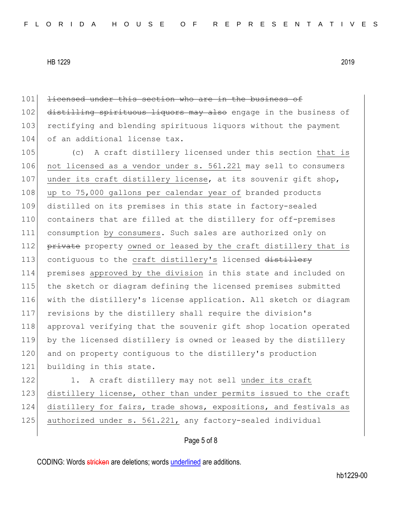| 101 | licensed under this section who are in the business of           |
|-----|------------------------------------------------------------------|
| 102 | distilling spirituous liquors may also engage in the business of |
| 103 | rectifying and blending spirituous liquors without the payment   |
| 104 | of an additional license tax.                                    |
| 105 | A craft distillery licensed under this section that is<br>(C)    |
| 106 | not licensed as a vendor under s. 561.221 may sell to consumers  |
| 107 | under its craft distillery license, at its souvenir gift shop,   |
| 108 | up to 75,000 gallons per calendar year of branded products       |
| 109 | distilled on its premises in this state in factory-sealed        |
| 110 | containers that are filled at the distillery for off-premises    |
| 111 | consumption by consumers. Such sales are authorized only on      |
| 112 | private property owned or leased by the craft distillery that is |
| 113 | contiguous to the craft distillery's licensed distillery         |
| 114 | premises approved by the division in this state and included on  |
| 115 | the sketch or diagram defining the licensed premises submitted   |
| 116 | with the distillery's license application. All sketch or diagram |
| 117 | revisions by the distillery shall require the division's         |
| 118 | approval verifying that the souvenir gift shop location operated |
| 119 | by the licensed distillery is owned or leased by the distillery  |
| 120 | and on property contiguous to the distillery's production        |
| 121 | building in this state.                                          |
| 122 | 1. A craft distillery may not sell under its craft               |
| 123 | distillery license, other than under permits issued to the craft |
| 124 | distillery for fairs, trade shows, expositions, and festivals as |
| 125 | authorized under s. 561.221, any factory-sealed individual       |

# Page 5 of 8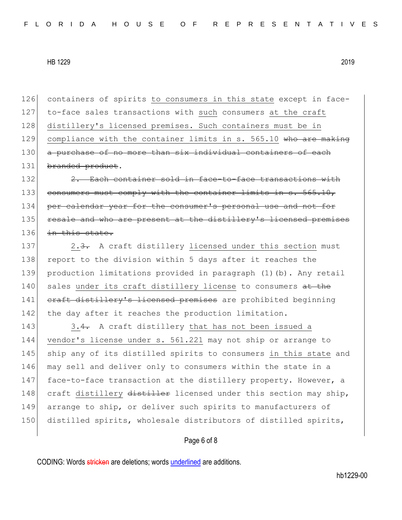126 containers of spirits to consumers in this state except in face-127 to-face sales transactions with such consumers at the craft 128 distillery's licensed premises. Such containers must be in 129 compliance with the container limits in  $s. 565.10$  who are making 130 a purchase of no more than six individual containers of each 131 branded product.

132 2. Each container sold in face-to-face transactions with 133 consumers must comply with the container limits in s. 565.10, 134 per calendar year for the consumer's personal use and not 135 resale and who are present at the distillery's licensed premises 136 in this state.

137 2.3. A craft distillery licensed under this section must 138 report to the division within 5 days after it reaches the 139 production limitations provided in paragraph (1)(b). Any retail 140 sales under its craft distillery license to consumers at the 141 craft distillery's licensed premises are prohibited beginning 142 the day after it reaches the production limitation.

143 3.4. A craft distillery that has not been issued a 144 vendor's license under s. 561.221 may not ship or arrange to 145 ship any of its distilled spirits to consumers in this state and 146 may sell and deliver only to consumers within the state in a 147 face-to-face transaction at the distillery property. However, a 148 craft distillery distiller licensed under this section may ship, 149 arrange to ship, or deliver such spirits to manufacturers of 150 distilled spirits, wholesale distributors of distilled spirits,

Page 6 of 8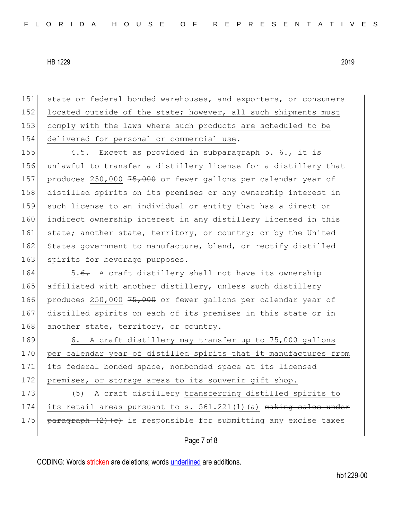151 state or federal bonded warehouses, and exporters, or consumers 152 located outside of the state; however, all such shipments must 153 comply with the laws where such products are scheduled to be 154 delivered for personal or commercial use.

155 4.5. Except as provided in subparagraph 5.  $6.$ , it is 156 unlawful to transfer a distillery license for a distillery that 157 produces 250,000  $75,000$  or fewer gallons per calendar year of 158 distilled spirits on its premises or any ownership interest in 159 such license to an individual or entity that has a direct or 160 indirect ownership interest in any distillery licensed in this 161 state; another state, territory, or country; or by the United 162 States government to manufacture, blend, or rectify distilled 163 spirits for beverage purposes.

164 5.6. A craft distillery shall not have its ownership 165 affiliated with another distillery, unless such distillery 166 produces 250,000 75,000 or fewer gallons per calendar year of 167 distilled spirits on each of its premises in this state or in 168 another state, territory, or country.

169 6. A craft distillery may transfer up to 75,000 gallons 170 per calendar year of distilled spirits that it manufactures from 171 its federal bonded space, nonbonded space at its licensed 172 premises, or storage areas to its souvenir gift shop.

173 (5) A craft distillery transferring distilled spirits to 174 its retail areas pursuant to s. 561.221(1)(a) making sales under 175 |  $\frac{175}{6}$  paragraph (2)(c) is responsible for submitting any excise taxes

#### Page 7 of 8